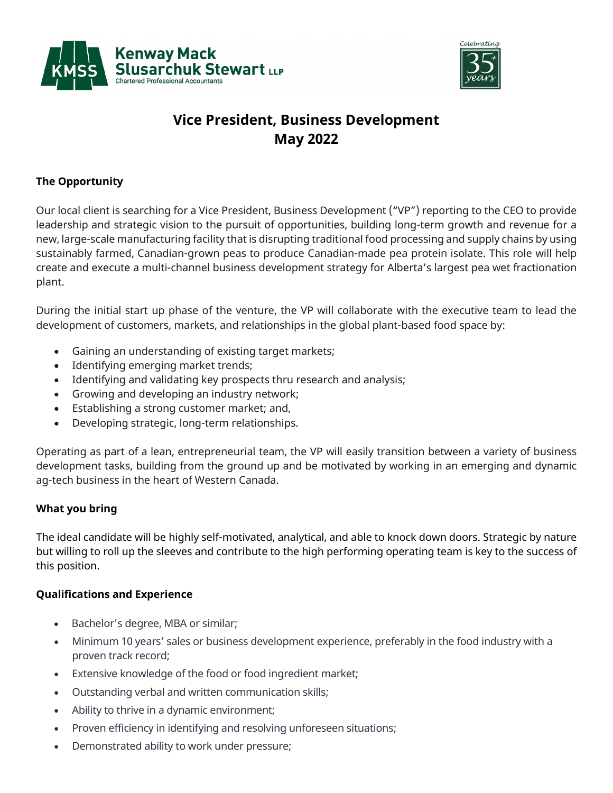



## **Vice President, Business Development May 2022**

## **The Opportunity**

Our local client is searching for a Vice President, Business Development ("VP") reporting to the CEO to provide leadership and strategic vision to the pursuit of opportunities, building long-term growth and revenue for a new, large-scale manufacturing facility that is disrupting traditional food processing and supply chains by using sustainably farmed, Canadian-grown peas to produce Canadian-made pea protein isolate. This role will help create and execute a multi-channel business development strategy for Alberta's largest pea wet fractionation plant.

During the initial start up phase of the venture, the VP will collaborate with the executive team to lead the development of customers, markets, and relationships in the global plant-based food space by:

- Gaining an understanding of existing target markets;
- Identifying emerging market trends;
- Identifying and validating key prospects thru research and analysis;
- Growing and developing an industry network;
- Establishing a strong customer market; and,
- Developing strategic, long-term relationships.

Operating as part of a lean, entrepreneurial team, the VP will easily transition between a variety of business development tasks, building from the ground up and be motivated by working in an emerging and dynamic ag-tech business in the heart of Western Canada.

## **What you bring**

The ideal candidate will be highly self-motivated, analytical, and able to knock down doors. Strategic by nature but willing to roll up the sleeves and contribute to the high performing operating team is key to the success of this position.

## **Qualifications and Experience**

- Bachelor's degree, MBA or similar;
- Minimum 10 years' sales or business development experience, preferably in the food industry with a proven track record;
- Extensive knowledge of the food or food ingredient market;
- Outstanding verbal and written communication skills;
- Ability to thrive in a dynamic environment;
- Proven efficiency in identifying and resolving unforeseen situations;
- Demonstrated ability to work under pressure;